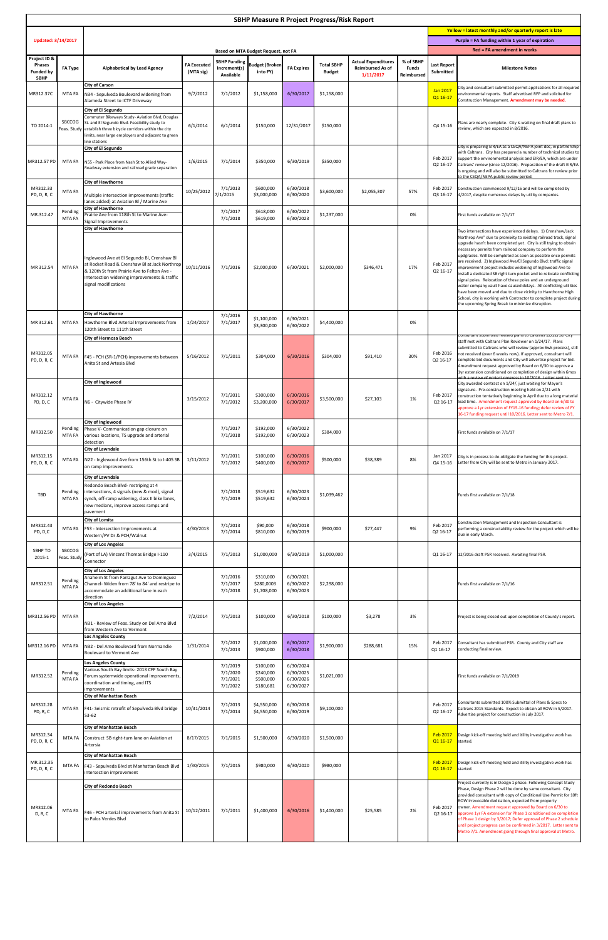|  |  |  |  |  | $A -$<br>wen ililal abbroval . |
|--|--|--|--|--|--------------------------------|
|  |  |  |  |  |                                |
|  |  |  |  |  |                                |

| <b>SBHP Measure R Project Progress/Risk Report</b>               |                              |                                                                                                                                                                                                                                                                        |                                 |                                              |                                                  |                                                  |                                    |                                                                    |                                         |                                                                                       |                                                                                                                                                                                                                                                                                                                                                                                                                                                                                                                                                                                                                                                                                                                                                                                                                                                                      |  |
|------------------------------------------------------------------|------------------------------|------------------------------------------------------------------------------------------------------------------------------------------------------------------------------------------------------------------------------------------------------------------------|---------------------------------|----------------------------------------------|--------------------------------------------------|--------------------------------------------------|------------------------------------|--------------------------------------------------------------------|-----------------------------------------|---------------------------------------------------------------------------------------|----------------------------------------------------------------------------------------------------------------------------------------------------------------------------------------------------------------------------------------------------------------------------------------------------------------------------------------------------------------------------------------------------------------------------------------------------------------------------------------------------------------------------------------------------------------------------------------------------------------------------------------------------------------------------------------------------------------------------------------------------------------------------------------------------------------------------------------------------------------------|--|
|                                                                  |                              |                                                                                                                                                                                                                                                                        |                                 |                                              |                                                  |                                                  |                                    |                                                                    |                                         | Yellow = latest monthly and/or quarterly report is late                               |                                                                                                                                                                                                                                                                                                                                                                                                                                                                                                                                                                                                                                                                                                                                                                                                                                                                      |  |
| <b>Updated: 3/14/2017</b>                                        |                              |                                                                                                                                                                                                                                                                        |                                 |                                              | <b>Based on MTA Budget Request, not FA</b>       |                                                  |                                    |                                                                    |                                         | Purple = FA funding within 1 year of expiration<br><b>Red = FA amendment in works</b> |                                                                                                                                                                                                                                                                                                                                                                                                                                                                                                                                                                                                                                                                                                                                                                                                                                                                      |  |
| Project ID &<br><b>Phases</b><br><b>Funded by</b><br><b>SBHP</b> | <b>FA Type</b>               | <b>Alphabetical by Lead Agency</b>                                                                                                                                                                                                                                     | <b>FA Executed</b><br>(MTA sig) | Increment(s)<br><b>Available</b>             | <b>SBHP Funding Budget (Broken)</b><br>into FY)  | <b>FA Expires</b>                                | <b>Total SBHP</b><br><b>Budget</b> | <b>Actual Expenditures</b><br><b>Reimbursed As of</b><br>1/11/2017 | % of SBHP<br><b>Funds</b><br>Reimbursed | <b>Last Report</b><br>Submitted                                                       | <b>Milestone Notes</b>                                                                                                                                                                                                                                                                                                                                                                                                                                                                                                                                                                                                                                                                                                                                                                                                                                               |  |
| MR312.37C                                                        | MTA FA                       | <b>City of Carson</b><br>N34 - Sepulveda Boulevard widening from<br>Alameda Street to ICTF Driveway                                                                                                                                                                    | 9/7/2012                        | 7/1/2012                                     | \$1,158,000                                      | 6/30/2017                                        | \$1,158,000                        |                                                                    |                                         | Jan 2017<br>Q1 16-17                                                                  | City and consultant submitted permit applications for all required<br>environmental reports. Staff advertised RFP and solicited for<br>Construction Management. Amendment may be needed.                                                                                                                                                                                                                                                                                                                                                                                                                                                                                                                                                                                                                                                                             |  |
| TO 2014-1                                                        | <b>SBCCOG</b>                | <b>City of El Segundo</b><br>Commuter Bikeways Study-Aviation Blvd, Douglas<br>St. and El Segundo Blvd- Feasibility study to<br>Feas. Study establish three bicycle corridors within the city<br>limits, near large employers and adjacent to green<br>line stations   | 6/1/2014                        | 6/1/2014                                     | \$150,000                                        | 12/31/2017                                       | \$150,000                          |                                                                    |                                         | Q4 15-16                                                                              | Plans are nearly complete. City is waiting on final draft plans to<br>review, which are expected in 8/2016.                                                                                                                                                                                                                                                                                                                                                                                                                                                                                                                                                                                                                                                                                                                                                          |  |
| MR312.57 PD                                                      | MTA FA                       | <b>City of El Segundo</b><br>N55 - Park Place from Nash St to Allied Way-<br>Roadway extension and railroad grade separation                                                                                                                                           | 1/6/2015                        | 7/1/2014                                     | \$350,000                                        | 6/30/2019                                        | \$350,000                          |                                                                    |                                         | Feb 2017<br>Q2 16-17                                                                  | City is preparing EIR/EA as a CEQA/NEPA joint doc, in partnership<br>with Caltrans. City has prepared a number of technical studies to<br>support the environmental analysis and EIR/EA, which are under<br>Caltrans' review (since 12/2016). Preparation of the draft EIR/EA<br>is ongoing and will also be submitted to Caltrans for review prior<br>to the CEQA/NEPA public review period.                                                                                                                                                                                                                                                                                                                                                                                                                                                                        |  |
| MR312.33<br>PD, D, R, C                                          | <b>MTA FA</b>                | <b>City of Hawthorne</b><br>Multiple intersection improvements (traffic<br>lanes added) at Aviation Bl / Marine Ave                                                                                                                                                    | 10/25/2012                      | 7/1/2013<br>7/1/2015                         | \$600,000<br>\$3,000,000                         | 6/30/2018<br>6/30/2020                           | \$3,600,000                        | \$2,055,307                                                        | 57%                                     | Feb 2017<br>Q3 16-17                                                                  | Construction commenced 9/12/16 and will be completed by<br>4/2017, despite numerous delays by utility companies.                                                                                                                                                                                                                                                                                                                                                                                                                                                                                                                                                                                                                                                                                                                                                     |  |
| MR.312.47                                                        | Pending<br>MTA FA            | <b>City of Hawthorne</b><br>Prairie Ave from 118th St to Marine Ave-                                                                                                                                                                                                   |                                 | 7/1/2017<br>7/1/2018                         | \$618,000<br>\$619,000                           | 6/30/2022<br>6/30/2023                           | \$1,237,000                        |                                                                    | 0%                                      |                                                                                       | First funds available on 7/1/17                                                                                                                                                                                                                                                                                                                                                                                                                                                                                                                                                                                                                                                                                                                                                                                                                                      |  |
| MR 312.54                                                        | <b>MTA FA</b>                | Signal Improvements<br><b>City of Hawthorne</b><br>Inglewood Ave at El Segundo Bl, Crenshaw Bl<br>at Rocket Road & Crenshaw Bl at Jack Northrop<br>& 120th St from Prairie Ave to Felton Ave -<br>Intersection widening improvements & traffic<br>signal modifications | 10/11/2016                      | 7/1/2016                                     | \$2,000,000                                      | 6/30/2021                                        | \$2,000,000                        | \$346,471                                                          | 17%                                     | Feb 2017<br>Q2 16-17                                                                  | Two intersections have experienced delays. 1) Crenshaw/Jack<br>Northrop Ave" due to promixity to existing railroad track, signal<br>upgrade hasn't been completed yet. City is still trying to obtain<br>necessary permits from railroad company to perform the<br>updgrades. Will be completed as soon as possible once permits<br>are received. 2) Inglewood Ave/El Segundo Blvd: traffic signal<br>improvement project includes widening of Inglewood Ave to<br>install a dedicated SB right turn pocket and to relocate conflicting<br>signal poles. Relocation of these poles and an underground<br>water company vault have caused delays. All conflicting utilities<br>have been moved and due to close vicinity to Hawthorne High<br>School, city is working with Contractor to complete project during<br>the upcoming Spring Break to minimize disruption. |  |
| MR 312.61                                                        | MTA FA                       | <b>City of Hawthorne</b><br>Hawthorne Blvd Arterial Improvements from<br>120th Street to 111th Street                                                                                                                                                                  | 1/24/2017                       | 7/1/2016<br>7/1/2017                         | \$1,100,000<br>\$3,300,000                       | 6/30/2021<br>6/30/2022                           | \$4,400,000                        |                                                                    | 0%                                      |                                                                                       |                                                                                                                                                                                                                                                                                                                                                                                                                                                                                                                                                                                                                                                                                                                                                                                                                                                                      |  |
| MR312.05<br>PD, D, R, C                                          | MTA FA                       | <b>City of Hermosa Beach</b><br>F45 - PCH (SR-1/PCH) improvements between<br>Anita St and Artesia Blvd                                                                                                                                                                 | 5/16/2012                       | 7/1/2011                                     | \$304,000                                        | 6/30/2016                                        | \$304,000                          | \$91,410                                                           | 30%                                     | Feb 2016<br>Q2 16-17                                                                  | <u>Consultant submitted revised plans to Caltrans 12/22/16. City</u><br>staff met with Caltrans Plan Reviewer on 1/24/17. Plans<br>submitted to Caltrans who will review (approx 6wk process), still<br>not received (over 6 weeks now). If approved, consultant will<br>complete bid documents and City will advertise project for bid.<br>Amendment request approved by Board on 6/30 to approve a<br>1yr extension conditioned on completion of design within 6mos                                                                                                                                                                                                                                                                                                                                                                                                |  |
| MR312.12<br>PD, D, C                                             | <b>MTA FA</b>                | <b>City of Inglewood</b><br>N6 - Citywide Phase IV                                                                                                                                                                                                                     | 3/15/2012                       | 7/1/2011<br>7/1/2012                         | \$300,000<br>\$3,200,000                         | 6/30/2016<br>6/30/2017                           | \$3,500,000                        | \$27,103                                                           | 1%                                      | Feb 2017<br>Q2 16-17                                                                  | ith a review of project progress in 10/2016 Letter sent to<br>City awarded contract on 1/24/, just waiting for Mayor's<br>signature. Pre-construction meeting held on 2/21 with<br>construction tentatively beginning in April due to a long material<br>lead time. Amendment request approved by Board on 6/30 to<br>approve a 1yr extension of FY15-16 funding; defer review of FY<br>16-17 funding request until 10/2016. Letter sent to Metro 7/1.                                                                                                                                                                                                                                                                                                                                                                                                               |  |
| MR312.50                                                         | Pending<br><b>MTA FA</b>     | <b>City of Inglewood</b><br>Phase V- Communication gap closure on<br>various locations, TS upgrade and arterial<br>detection                                                                                                                                           |                                 | 7/1/2017<br>7/1/2018                         | \$192,000<br>\$192,000                           | 6/30/2022<br>6/30/2023                           | \$384,000                          |                                                                    |                                         |                                                                                       | First funds available on 7/1/17                                                                                                                                                                                                                                                                                                                                                                                                                                                                                                                                                                                                                                                                                                                                                                                                                                      |  |
| MR312.15<br>PD, D, R, C                                          | MTA FA                       | <b>City of Lawndale</b><br>N22 - Inglewood Ave from 156th St to I-405 SB<br>on ramp improvements                                                                                                                                                                       | 1/11/2012                       | 7/1/2011<br>7/1/2012                         | \$100,000<br>\$400,000                           | 6/30/2016<br>6/30/2017                           | \$500,000                          | \$38,389                                                           | 8%                                      | Jan 2017<br>Q4 15-16                                                                  | City is in process to de-obligate the funding for this project.<br>Letter from City will be sent to Metro in January 2017.                                                                                                                                                                                                                                                                                                                                                                                                                                                                                                                                                                                                                                                                                                                                           |  |
| <b>TBD</b>                                                       | Pending<br>MTA FA            | <b>City of Lawndale</b><br>Redondo Beach Blvd- restriping at 4<br>lintersections, 4 signals (new & mod), signal<br>synch, off-ramp widening, class II bike lanes,<br>new medians, improve access ramps and<br><b>I</b> pavement                                        |                                 | 7/1/2018<br>7/1/2019                         | \$519,632<br>\$519,632                           | 6/30/2023<br>6/30/2024                           | \$1,039,462                        |                                                                    |                                         |                                                                                       | Funds first available on 7/1/18                                                                                                                                                                                                                                                                                                                                                                                                                                                                                                                                                                                                                                                                                                                                                                                                                                      |  |
| MR312.43<br>PD, D,C                                              | MTA FA                       | <b>City of Lomita</b><br><b>F53</b> - Intersection Improvements at<br>Western/PV Dr & PCH/Walnut                                                                                                                                                                       | 4/30/2013                       | 7/1/2013<br>7/1/2014                         | \$90,000<br>\$810,000                            | 6/30/2018<br>6/30/2019                           | \$900,000                          | \$77,447                                                           | 9%                                      | Feb 2017<br>Q2 16-17                                                                  | Construction Management and Inspection Consultant is<br>performing a constructability review for the project which will be<br>due in early March.                                                                                                                                                                                                                                                                                                                                                                                                                                                                                                                                                                                                                                                                                                                    |  |
| SBHP TO<br>2015-1                                                | <b>SBCCOG</b><br>Feas. Study | <b>City of Los Angeles</b><br>(Port of LA) Vincent Thomas Bridge I-110<br>Connector                                                                                                                                                                                    | 3/4/2015                        | 7/1/2013                                     | \$1,000,000                                      | 6/30/2019                                        | \$1,000,000                        |                                                                    |                                         | Q1 16-17                                                                              | 12/2016 draft PSR received. Awaiting final PSR.                                                                                                                                                                                                                                                                                                                                                                                                                                                                                                                                                                                                                                                                                                                                                                                                                      |  |
| MR312.51                                                         | Pending<br><b>MTA FA</b>     | <b>City of Los Angeles</b><br>Anaheim St from Farragut Ave to Dominguez<br>Channel-Widen from 78' to 84' and restripe to<br>accommodate an additional lane in each<br>direction<br><b>City of Los Angeles</b>                                                          |                                 | 7/1/2016<br>7/1/2017<br>7/1/2018             | \$310,000<br>\$280,0003<br>\$1,708,000           | 6/30/2021<br>6/30/2022<br>6/30/2023              | \$2,298,000                        |                                                                    |                                         |                                                                                       | Funds first available on 7/1/16                                                                                                                                                                                                                                                                                                                                                                                                                                                                                                                                                                                                                                                                                                                                                                                                                                      |  |
| MR312.56 PD                                                      | MTA FA                       | N31 - Review of Feas. Study on Del Amo Blvd<br>from Western Ave to Vermont                                                                                                                                                                                             | 7/2/2014                        | 7/1/2013                                     | \$100,000                                        | 6/30/2018                                        | \$100,000                          | \$3,278                                                            | 3%                                      |                                                                                       | Project is being closed out upon completion of County's report.                                                                                                                                                                                                                                                                                                                                                                                                                                                                                                                                                                                                                                                                                                                                                                                                      |  |
| MR312.16 PD                                                      | MTA FA                       | Los Angeles County<br>N32 - Del Amo Boulevard from Normandie<br>Boulevard to Vermont Ave                                                                                                                                                                               | 1/31/2014                       | 7/1/2012<br>7/1/2013                         | \$1,000,000<br>\$900,000                         | 6/30/2017<br>6/30/2018                           | \$1,900,000                        | \$288,681                                                          | 15%                                     | Feb 2017<br>Q1 16-17                                                                  | Consultant has submitted PSR. County and City staff are<br>conducting final review.                                                                                                                                                                                                                                                                                                                                                                                                                                                                                                                                                                                                                                                                                                                                                                                  |  |
| MR312.52                                                         | Pending<br>MTA FA            | <b>Los Angeles County</b><br>Various South Bay limits- 2013 CFP South Bay<br>Forum systemwide operational improvements,<br>coordination and timing, and ITS<br><i>limprovements</i>                                                                                    |                                 | 7/1/2019<br>7/1/2020<br>7/1/2021<br>7/1/2022 | \$100,000<br>\$240,000<br>\$500,000<br>\$180,681 | 6/30/2024<br>6/30/2025<br>6/30/2026<br>6/30/2027 | \$1,021,000                        |                                                                    |                                         |                                                                                       | First funds available on 7/1/2019                                                                                                                                                                                                                                                                                                                                                                                                                                                                                                                                                                                                                                                                                                                                                                                                                                    |  |
| MR312.28<br>PD, R, C                                             | MTA FA                       | <b>City of Manhattan Beach</b><br>F41- Seismic retrofit of Sepulveda Blvd bridge<br>53-62                                                                                                                                                                              | 10/31/2014                      | 7/1/2013<br>7/1/2014                         | \$4,550,000<br>\$4,550,000                       | 6/30/2018<br>6/30/2019                           | \$9,100,000                        |                                                                    |                                         | Feb 2017<br>Q2 16-17                                                                  | Consultants submitted 100% Submittal of Plans & Specs to<br>Caltrans 2015 Standards. Expect to obtain all ROW in 5/2017.<br>Advertise project for construction in July 2017.                                                                                                                                                                                                                                                                                                                                                                                                                                                                                                                                                                                                                                                                                         |  |
| MR312.34<br>PD, D, R, C                                          | MTA FA                       | <b>City of Manhattan Beach</b><br>Construct SB right-turn lane on Aviation at<br>Artersia                                                                                                                                                                              | 8/17/2015                       | 7/1/2015                                     | \$1,500,000                                      | 6/30/2020                                        | \$1,500,000                        |                                                                    |                                         | Feb 2017<br>Q1 16-17                                                                  | Design kick-off meeting held and itility investigative work has<br>started.                                                                                                                                                                                                                                                                                                                                                                                                                                                                                                                                                                                                                                                                                                                                                                                          |  |
| MR.312.35<br>PD, D, R, C                                         | MTA FA                       | <b>City of Manhattan Beach</b><br>F43 - Sepulveda Blvd at Manhattan Beach Blvd<br>intersection improvement                                                                                                                                                             | 1/30/2015                       | 7/1/2015                                     | \$980,000                                        | 6/30/2020                                        | \$980,000                          |                                                                    |                                         | Feb 2017<br>Q1 16-17                                                                  | Design kick-off meeting held and itility investigative work has<br>started.                                                                                                                                                                                                                                                                                                                                                                                                                                                                                                                                                                                                                                                                                                                                                                                          |  |
| MR312.06<br>D, R, C                                              | MTA FA                       | <b>City of Redondo Beach</b><br>F46 - PCH arterial improvements from Anita St<br>to Palos Verdes Blvd                                                                                                                                                                  | 10/12/2011                      | 7/1/2011                                     | \$1,400,000                                      | 6/30/2016                                        | \$1,400,000                        | \$25,585                                                           | 2%                                      | Feb 2017<br>Q2 16-17                                                                  | Project currently is in Design 1 phase. Following Concept Study<br>Phase, Design Phase 2 will be done by same consultant. City<br>provided consultant with copy of Conditional Use Permit for 10ft<br>ROW irrevocable dedication, expected from property<br>owner. Amendment request approved by Board on 6/30 to<br>approve 1yr FA extension for Phase 1 conditioned on completion<br>of Phase 1 design by 3/2017; Defer approval of Phase 2 schedule<br>until project progress can be confirmed in 3/2017. Letter sent to                                                                                                                                                                                                                                                                                                                                          |  |